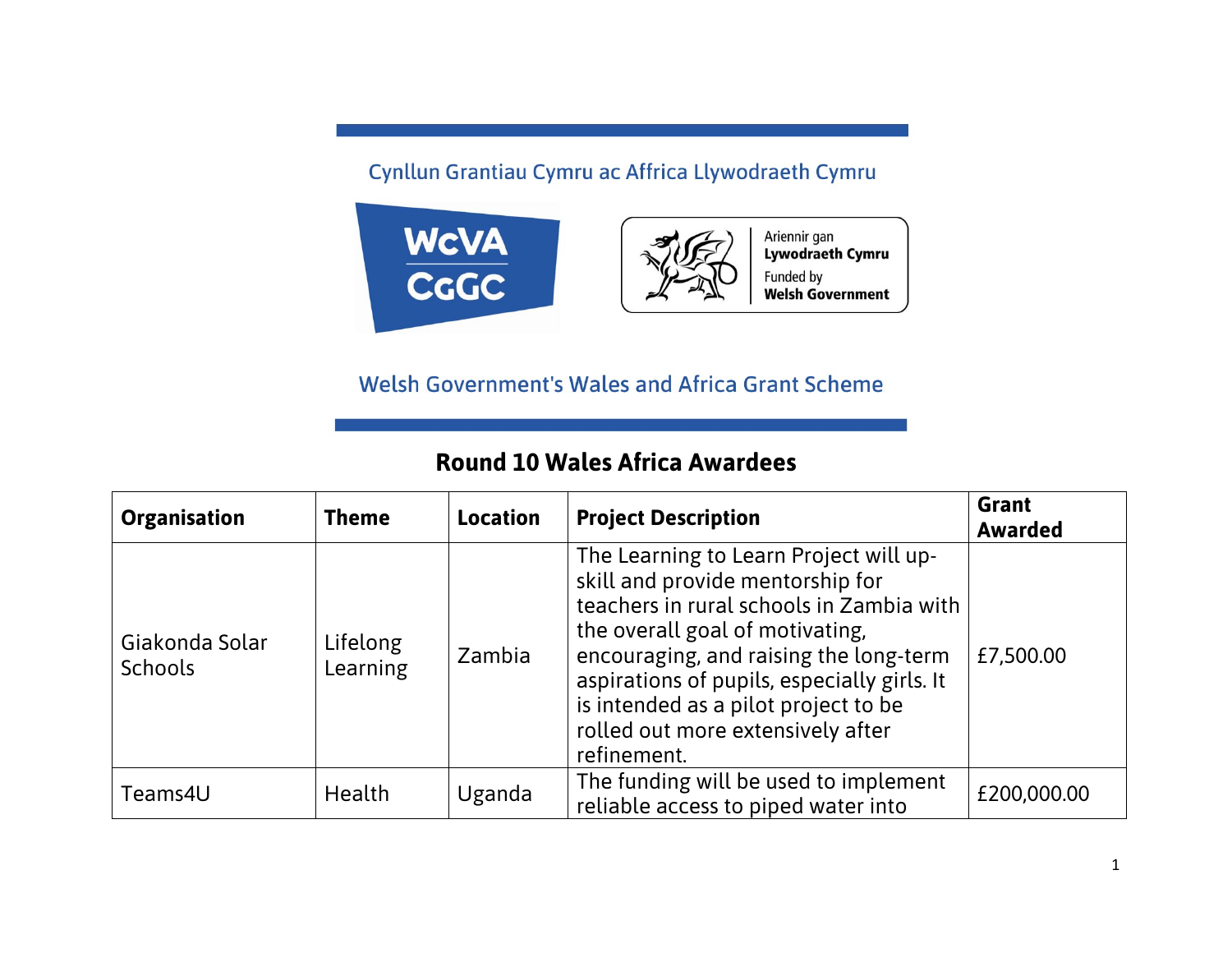## Cynllun Grantiau Cymru ac Affrica Llywodraeth Cymru



## **Welsh Government's Wales and Africa Grant Scheme**

## **Round 10 Wales Africa Awardees**

| <b>Organisation</b>              | <b>Theme</b>         | <b>Location</b> | <b>Project Description</b>                                                                                                                                                                                                                                                                                                                     | <b>Grant</b><br><b>Awarded</b> |
|----------------------------------|----------------------|-----------------|------------------------------------------------------------------------------------------------------------------------------------------------------------------------------------------------------------------------------------------------------------------------------------------------------------------------------------------------|--------------------------------|
| Giakonda Solar<br><b>Schools</b> | Lifelong<br>Learning | Zambia          | The Learning to Learn Project will up-<br>skill and provide mentorship for<br>teachers in rural schools in Zambia with<br>the overall goal of motivating,<br>encouraging, and raising the long-term<br>aspirations of pupils, especially girls. It<br>is intended as a pilot project to be<br>rolled out more extensively after<br>refinement. | £7,500.00                      |
| Teams4U                          | Health               | Uganda          | The funding will be used to implement<br>reliable access to piped water into                                                                                                                                                                                                                                                                   | £200,000.00                    |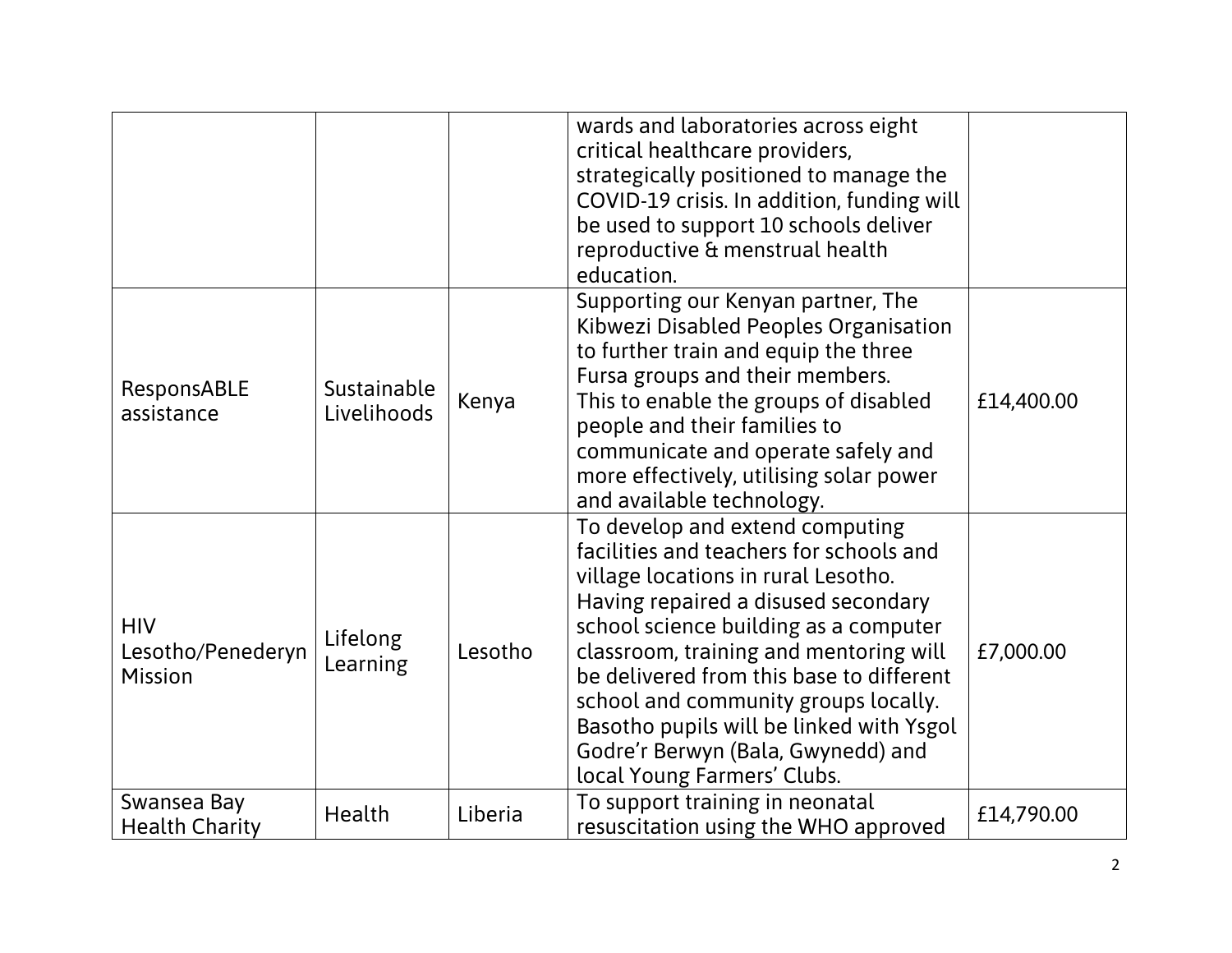|                                            |                            |         | wards and laboratories across eight<br>critical healthcare providers,<br>strategically positioned to manage the<br>COVID-19 crisis. In addition, funding will<br>be used to support 10 schools deliver<br>reproductive & menstrual health<br>education.                                                                                                                                                                                          |            |
|--------------------------------------------|----------------------------|---------|--------------------------------------------------------------------------------------------------------------------------------------------------------------------------------------------------------------------------------------------------------------------------------------------------------------------------------------------------------------------------------------------------------------------------------------------------|------------|
| ResponsABLE<br>assistance                  | Sustainable<br>Livelihoods | Kenya   | Supporting our Kenyan partner, The<br>Kibwezi Disabled Peoples Organisation<br>to further train and equip the three<br>Fursa groups and their members.<br>This to enable the groups of disabled<br>people and their families to<br>communicate and operate safely and<br>more effectively, utilising solar power<br>and available technology.                                                                                                    | £14,400.00 |
| <b>HIV</b><br>Lesotho/Penederyn<br>Mission | Lifelong<br>Learning       | Lesotho | To develop and extend computing<br>facilities and teachers for schools and<br>village locations in rural Lesotho.<br>Having repaired a disused secondary<br>school science building as a computer<br>classroom, training and mentoring will<br>be delivered from this base to different<br>school and community groups locally.<br>Basotho pupils will be linked with Ysgol<br>Godre'r Berwyn (Bala, Gwynedd) and<br>local Young Farmers' Clubs. | £7,000.00  |
| Swansea Bay<br><b>Health Charity</b>       | Health                     | Liberia | To support training in neonatal<br>resuscitation using the WHO approved                                                                                                                                                                                                                                                                                                                                                                          | £14,790.00 |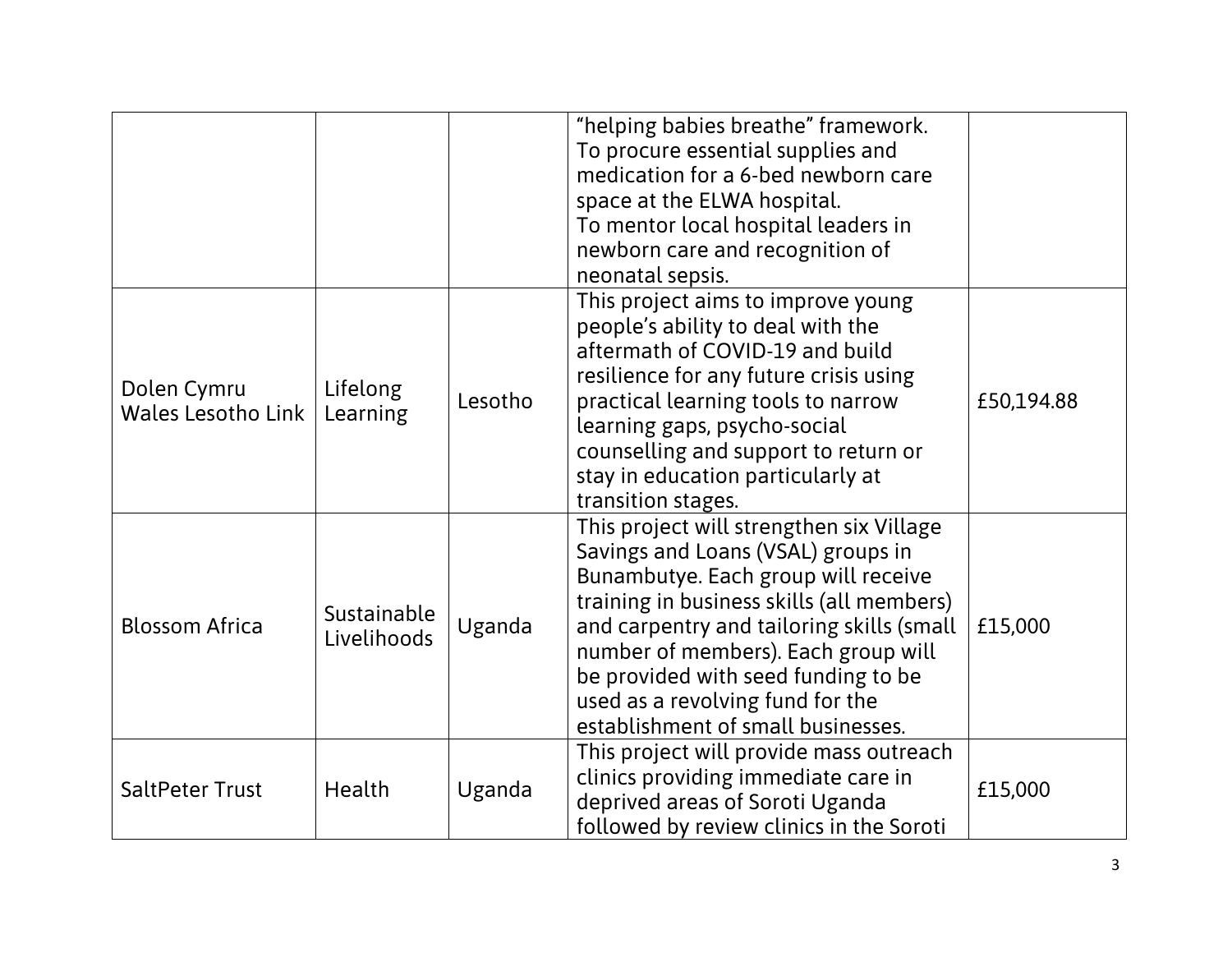|                                          |                            |         | "helping babies breathe" framework.<br>To procure essential supplies and<br>medication for a 6-bed newborn care<br>space at the ELWA hospital.<br>To mentor local hospital leaders in<br>newborn care and recognition of<br>neonatal sepsis.                                                                                                                            |            |
|------------------------------------------|----------------------------|---------|-------------------------------------------------------------------------------------------------------------------------------------------------------------------------------------------------------------------------------------------------------------------------------------------------------------------------------------------------------------------------|------------|
| Dolen Cymru<br><b>Wales Lesotho Link</b> | Lifelong<br>Learning       | Lesotho | This project aims to improve young<br>people's ability to deal with the<br>aftermath of COVID-19 and build<br>resilience for any future crisis using<br>practical learning tools to narrow<br>learning gaps, psycho-social<br>counselling and support to return or<br>stay in education particularly at<br>transition stages.                                           | £50,194.88 |
| <b>Blossom Africa</b>                    | Sustainable<br>Livelihoods | Uganda  | This project will strengthen six Village<br>Savings and Loans (VSAL) groups in<br>Bunambutye. Each group will receive<br>training in business skills (all members)<br>and carpentry and tailoring skills (small<br>number of members). Each group will<br>be provided with seed funding to be<br>used as a revolving fund for the<br>establishment of small businesses. | £15,000    |
| <b>SaltPeter Trust</b>                   | Health                     | Uganda  | This project will provide mass outreach<br>clinics providing immediate care in<br>deprived areas of Soroti Uganda<br>followed by review clinics in the Soroti                                                                                                                                                                                                           | £15,000    |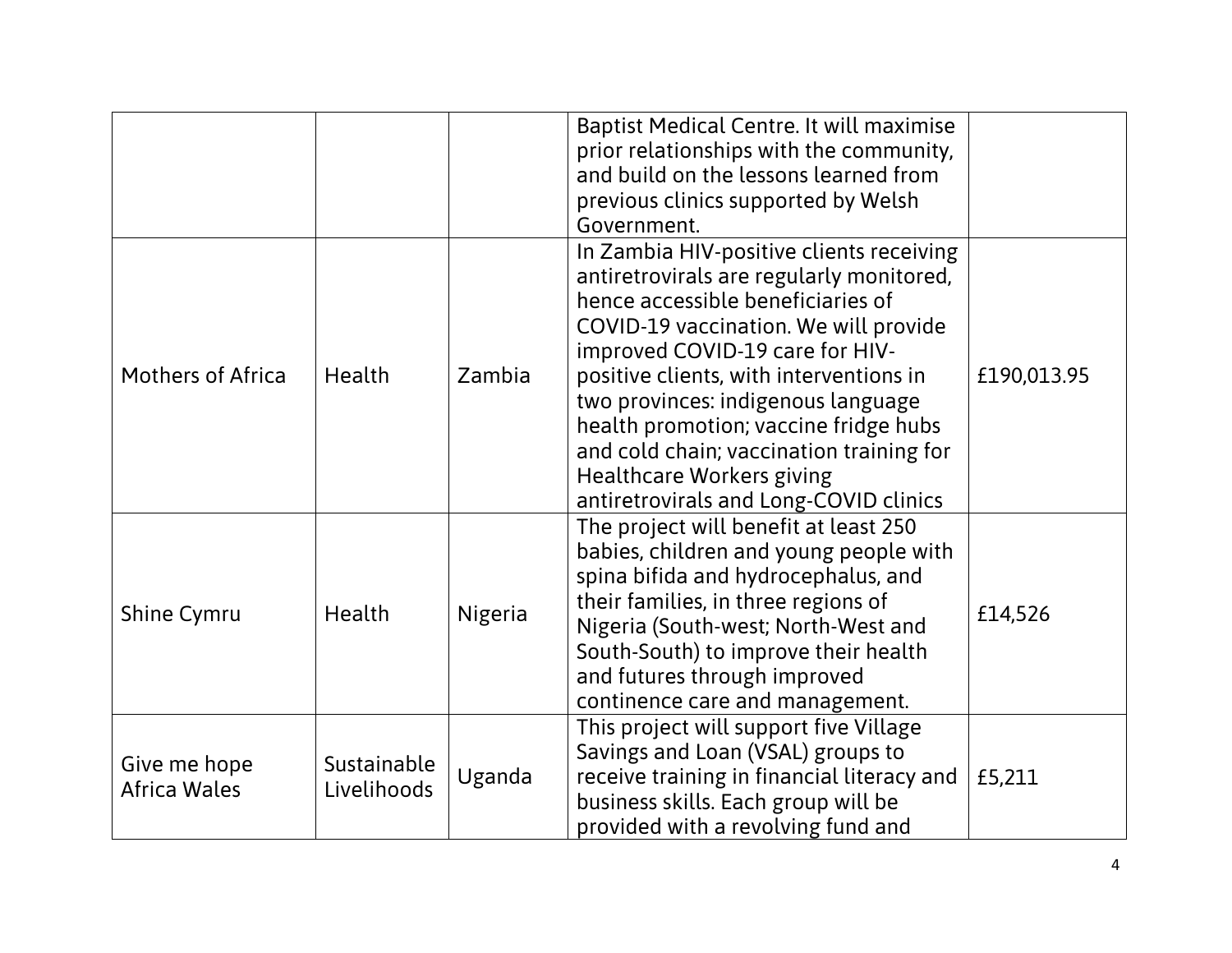|                                     |                            |         | Baptist Medical Centre. It will maximise<br>prior relationships with the community,<br>and build on the lessons learned from<br>previous clinics supported by Welsh<br>Government.                                                                                                                                                                                                                                                                        |             |
|-------------------------------------|----------------------------|---------|-----------------------------------------------------------------------------------------------------------------------------------------------------------------------------------------------------------------------------------------------------------------------------------------------------------------------------------------------------------------------------------------------------------------------------------------------------------|-------------|
| <b>Mothers of Africa</b>            | Health                     | Zambia  | In Zambia HIV-positive clients receiving<br>antiretrovirals are regularly monitored,<br>hence accessible beneficiaries of<br>COVID-19 vaccination. We will provide<br>improved COVID-19 care for HIV-<br>positive clients, with interventions in<br>two provinces: indigenous language<br>health promotion; vaccine fridge hubs<br>and cold chain; vaccination training for<br><b>Healthcare Workers giving</b><br>antiretrovirals and Long-COVID clinics | £190,013.95 |
| <b>Shine Cymru</b>                  | Health                     | Nigeria | The project will benefit at least 250<br>babies, children and young people with<br>spina bifida and hydrocephalus, and<br>their families, in three regions of<br>Nigeria (South-west; North-West and<br>South-South) to improve their health<br>and futures through improved<br>continence care and management.                                                                                                                                           | £14,526     |
| Give me hope<br><b>Africa Wales</b> | Sustainable<br>Livelihoods | Uganda  | This project will support five Village<br>Savings and Loan (VSAL) groups to<br>receive training in financial literacy and<br>business skills. Each group will be<br>provided with a revolving fund and                                                                                                                                                                                                                                                    | £5,211      |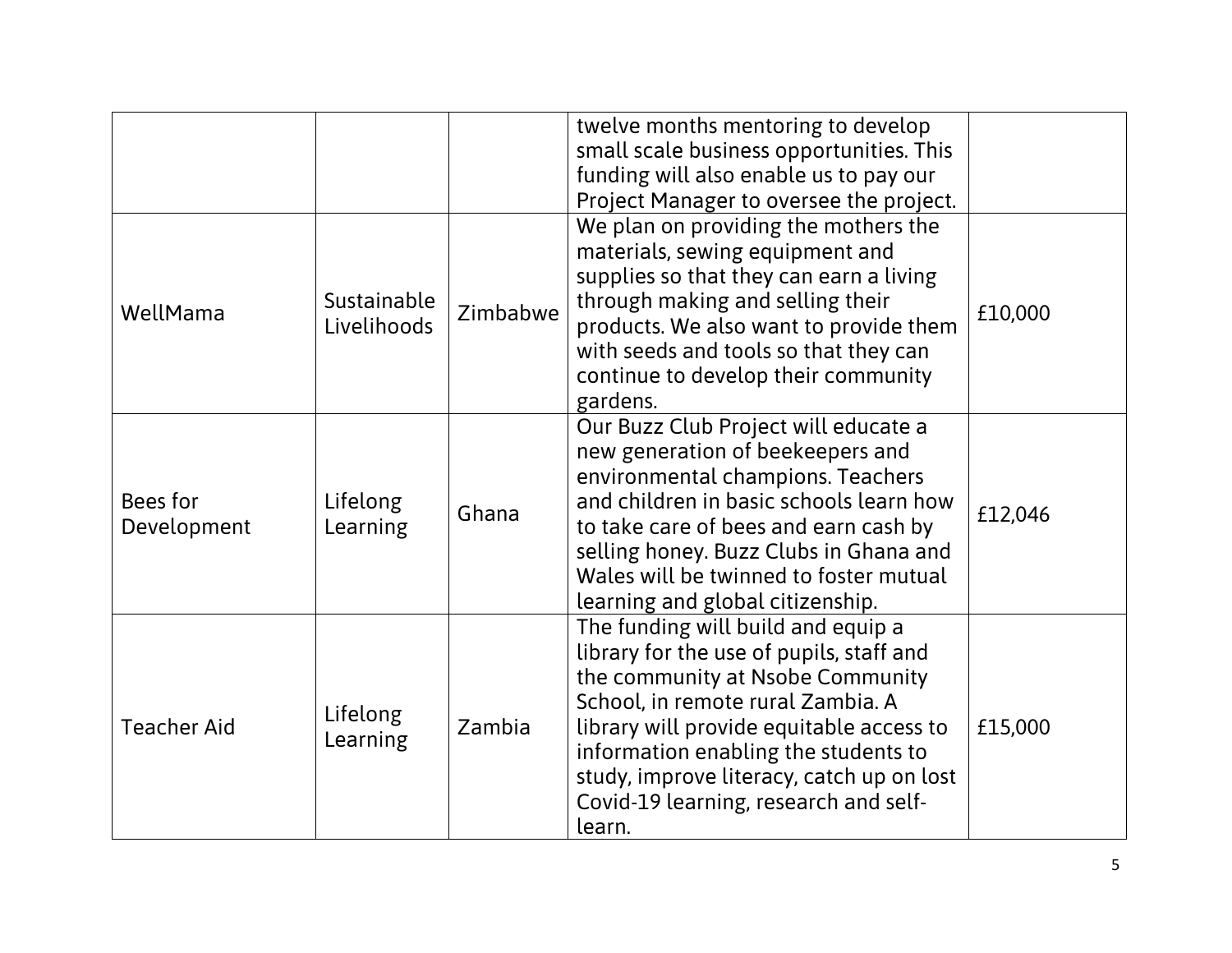|                         |                            |          | twelve months mentoring to develop<br>small scale business opportunities. This<br>funding will also enable us to pay our<br>Project Manager to oversee the project.                                                                                                                                                                         |         |
|-------------------------|----------------------------|----------|---------------------------------------------------------------------------------------------------------------------------------------------------------------------------------------------------------------------------------------------------------------------------------------------------------------------------------------------|---------|
| WellMama                | Sustainable<br>Livelihoods | Zimbabwe | We plan on providing the mothers the<br>materials, sewing equipment and<br>supplies so that they can earn a living<br>through making and selling their<br>products. We also want to provide them<br>with seeds and tools so that they can<br>continue to develop their community<br>gardens.                                                | £10,000 |
| Bees for<br>Development | Lifelong<br>Learning       | Ghana    | Our Buzz Club Project will educate a<br>new generation of beekeepers and<br>environmental champions. Teachers<br>and children in basic schools learn how<br>to take care of bees and earn cash by<br>selling honey. Buzz Clubs in Ghana and<br>Wales will be twinned to foster mutual<br>learning and global citizenship.                   | £12,046 |
| <b>Teacher Aid</b>      | Lifelong<br>Learning       | Zambia   | The funding will build and equip a<br>library for the use of pupils, staff and<br>the community at Nsobe Community<br>School, in remote rural Zambia. A<br>library will provide equitable access to<br>information enabling the students to<br>study, improve literacy, catch up on lost<br>Covid-19 learning, research and self-<br>learn. | £15,000 |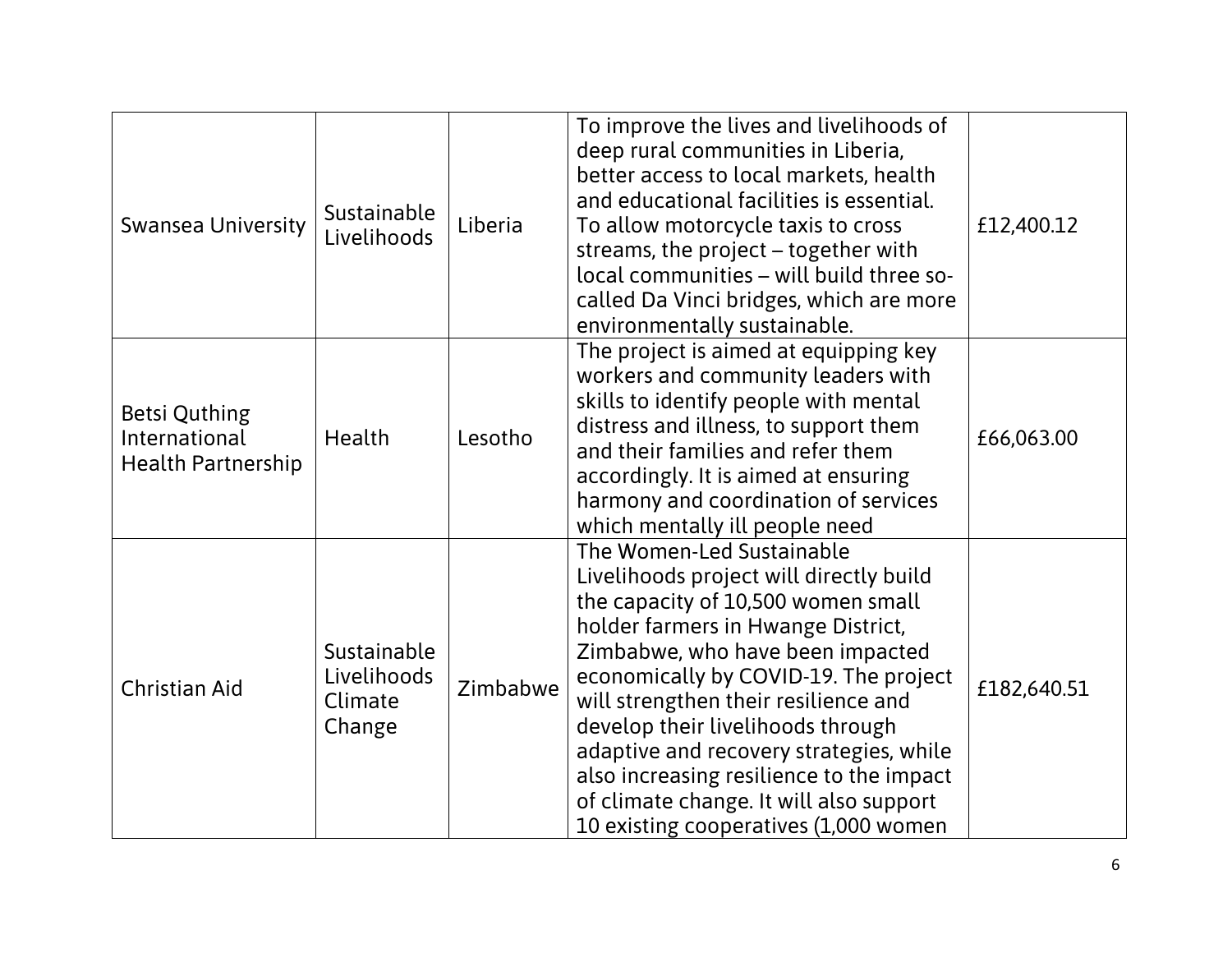| <b>Swansea University</b>                                          | Sustainable<br>Livelihoods                      | Liberia  | To improve the lives and livelihoods of<br>deep rural communities in Liberia,<br>better access to local markets, health<br>and educational facilities is essential.<br>To allow motorcycle taxis to cross<br>streams, the project – together with<br>local communities - will build three so-<br>called Da Vinci bridges, which are more<br>environmentally sustainable.                                                                                                              | £12,400.12  |
|--------------------------------------------------------------------|-------------------------------------------------|----------|---------------------------------------------------------------------------------------------------------------------------------------------------------------------------------------------------------------------------------------------------------------------------------------------------------------------------------------------------------------------------------------------------------------------------------------------------------------------------------------|-------------|
| <b>Betsi Quthing</b><br>International<br><b>Health Partnership</b> | <b>Health</b>                                   | Lesotho  | The project is aimed at equipping key<br>workers and community leaders with<br>skills to identify people with mental<br>distress and illness, to support them<br>and their families and refer them<br>accordingly. It is aimed at ensuring<br>harmony and coordination of services<br>which mentally ill people need                                                                                                                                                                  | £66,063.00  |
| <b>Christian Aid</b>                                               | Sustainable<br>Livelihoods<br>Climate<br>Change | Zimbabwe | The Women-Led Sustainable<br>Livelihoods project will directly build<br>the capacity of 10,500 women small<br>holder farmers in Hwange District,<br>Zimbabwe, who have been impacted<br>economically by COVID-19. The project<br>will strengthen their resilience and<br>develop their livelihoods through<br>adaptive and recovery strategies, while<br>also increasing resilience to the impact<br>of climate change. It will also support<br>10 existing cooperatives (1,000 women | £182,640.51 |